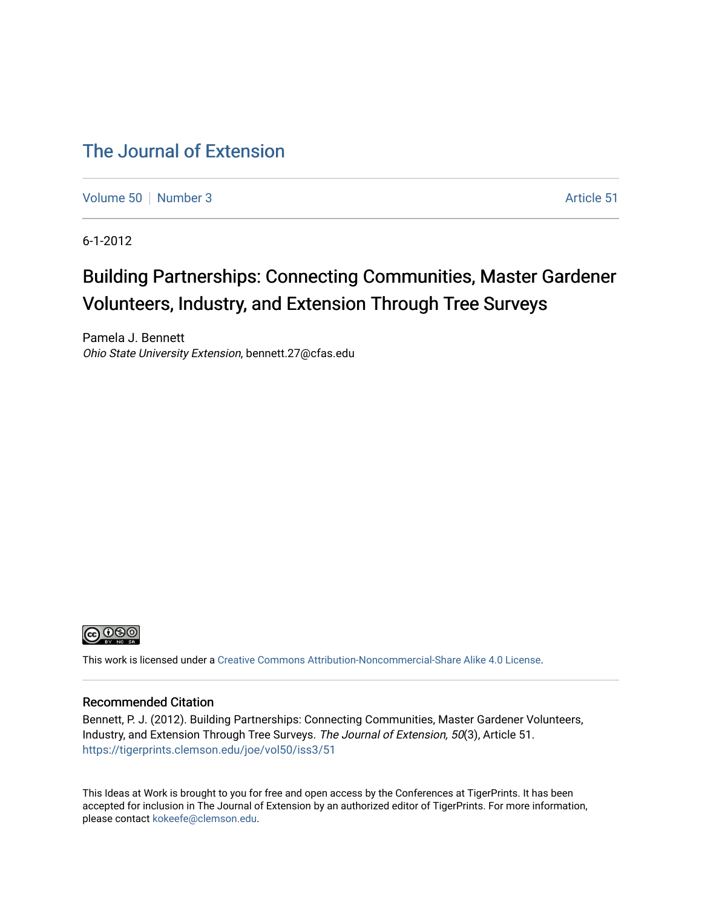# [The Journal of Extension](https://tigerprints.clemson.edu/joe)

[Volume 50](https://tigerprints.clemson.edu/joe/vol50) [Number 3](https://tigerprints.clemson.edu/joe/vol50/iss3) Article 51

6-1-2012

# Building Partnerships: Connecting Communities, Master Gardener Volunteers, Industry, and Extension Through Tree Surveys

Pamela J. Bennett Ohio State University Extension, bennett.27@cfas.edu



This work is licensed under a [Creative Commons Attribution-Noncommercial-Share Alike 4.0 License.](https://creativecommons.org/licenses/by-nc-sa/4.0/)

#### Recommended Citation

Bennett, P. J. (2012). Building Partnerships: Connecting Communities, Master Gardener Volunteers, Industry, and Extension Through Tree Surveys. The Journal of Extension, 50(3), Article 51. <https://tigerprints.clemson.edu/joe/vol50/iss3/51>

This Ideas at Work is brought to you for free and open access by the Conferences at TigerPrints. It has been accepted for inclusion in The Journal of Extension by an authorized editor of TigerPrints. For more information, please contact [kokeefe@clemson.edu](mailto:kokeefe@clemson.edu).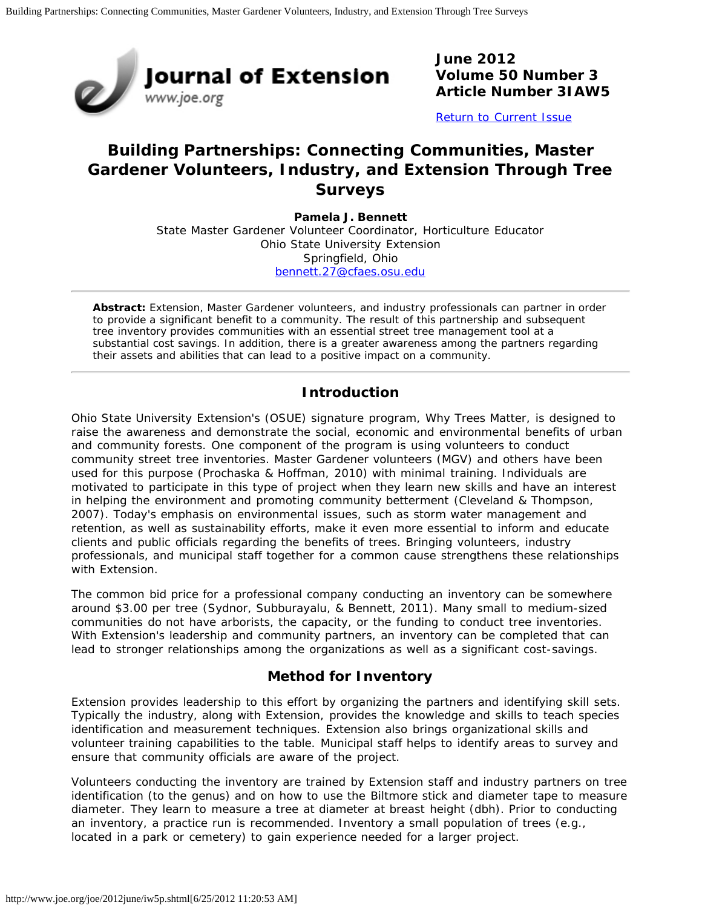

**June 2012 Volume 50 Number 3 Article Number 3IAW5**

[Return to Current Issue](http://www.joe.org/joe/2012june/)

## **Building Partnerships: Connecting Communities, Master Gardener Volunteers, Industry, and Extension Through Tree Surveys**

**Pamela J. Bennett** State Master Gardener Volunteer Coordinator, Horticulture Educator Ohio State University Extension Springfield, Ohio [bennett.27@cfaes.osu.edu](mailto:bennett.27@cfaes.osu.edu)

*Abstract: Extension, Master Gardener volunteers, and industry professionals can partner in order to provide a significant benefit to a community. The result of this partnership and subsequent tree inventory provides communities with an essential street tree management tool at a substantial cost savings. In addition, there is a greater awareness among the partners regarding their assets and abilities that can lead to a positive impact on a community.*

## **Introduction**

Ohio State University Extension's (OSUE) signature program, Why Trees Matter, is designed to raise the awareness and demonstrate the social, economic and environmental benefits of urban and community forests. One component of the program is using volunteers to conduct community street tree inventories. Master Gardener volunteers (MGV) and others have been used for this purpose (Prochaska & Hoffman, 2010) with minimal training. Individuals are motivated to participate in this type of project when they learn new skills and have an interest in helping the environment and promoting community betterment (Cleveland & Thompson, 2007). Today's emphasis on environmental issues, such as storm water management and retention, as well as sustainability efforts, make it even more essential to inform and educate clients and public officials regarding the benefits of trees. Bringing volunteers, industry professionals, and municipal staff together for a common cause strengthens these relationships with Extension.

The common bid price for a professional company conducting an inventory can be somewhere around \$3.00 per tree (Sydnor, Subburayalu, & Bennett, 2011). Many small to medium-sized communities do not have arborists, the capacity, or the funding to conduct tree inventories. With Extension's leadership and community partners, an inventory can be completed that can lead to stronger relationships among the organizations as well as a significant cost-savings.

## **Method for Inventory**

Extension provides leadership to this effort by organizing the partners and identifying skill sets. Typically the industry, along with Extension, provides the knowledge and skills to teach species identification and measurement techniques. Extension also brings organizational skills and volunteer training capabilities to the table. Municipal staff helps to identify areas to survey and ensure that community officials are aware of the project.

Volunteers conducting the inventory are trained by Extension staff and industry partners on tree identification (to the genus) and on how to use the Biltmore stick and diameter tape to measure diameter. They learn to measure a tree at diameter at breast height (dbh). Prior to conducting an inventory, a practice run is recommended. Inventory a small population of trees (e.g., located in a park or cemetery) to gain experience needed for a larger project.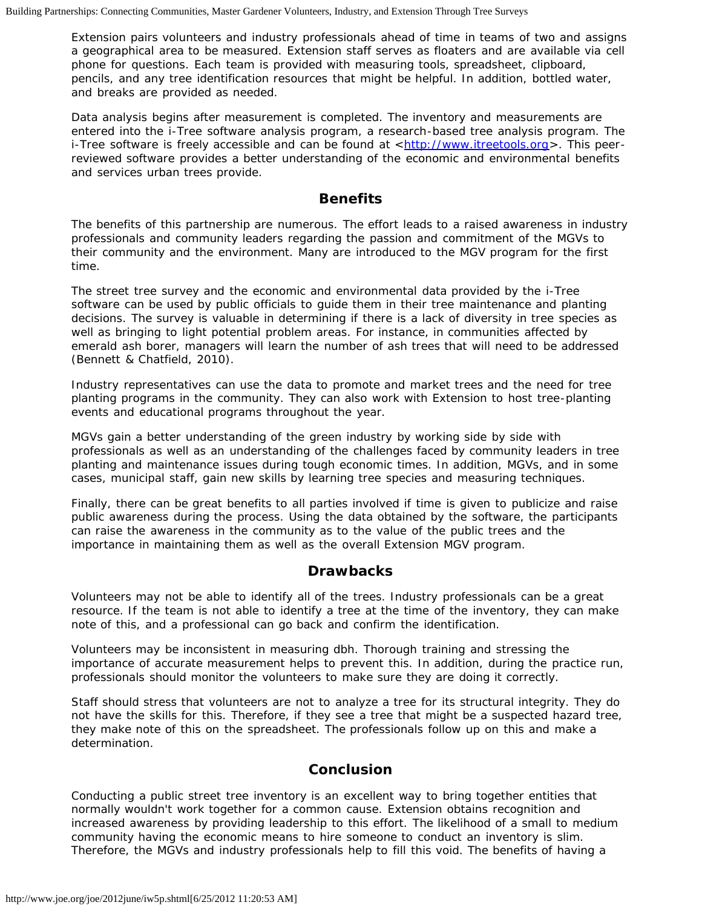Extension pairs volunteers and industry professionals ahead of time in teams of two and assigns a geographical area to be measured. Extension staff serves as floaters and are available via cell phone for questions. Each team is provided with measuring tools, spreadsheet, clipboard, pencils, and any tree identification resources that might be helpful. In addition, bottled water, and breaks are provided as needed.

Data analysis begins after measurement is completed. The inventory and measurements are entered into the i-Tree software analysis program, a research-based tree analysis program. The i-Tree software is freely accessible and can be found at  $\langle h(t) \rangle$  //www.itreetools.org >. This peerreviewed software provides a better understanding of the economic and environmental benefits and services urban trees provide.

## **Benefits**

The benefits of this partnership are numerous. The effort leads to a raised awareness in industry professionals and community leaders regarding the passion and commitment of the MGVs to their community and the environment. Many are introduced to the MGV program for the first time.

The street tree survey and the economic and environmental data provided by the i-Tree software can be used by public officials to guide them in their tree maintenance and planting decisions. The survey is valuable in determining if there is a lack of diversity in tree species as well as bringing to light potential problem areas. For instance, in communities affected by emerald ash borer, managers will learn the number of ash trees that will need to be addressed (Bennett & Chatfield, 2010).

Industry representatives can use the data to promote and market trees and the need for tree planting programs in the community. They can also work with Extension to host tree-planting events and educational programs throughout the year.

MGVs gain a better understanding of the green industry by working side by side with professionals as well as an understanding of the challenges faced by community leaders in tree planting and maintenance issues during tough economic times. In addition, MGVs, and in some cases, municipal staff, gain new skills by learning tree species and measuring techniques.

Finally, there can be great benefits to all parties involved if time is given to publicize and raise public awareness during the process. Using the data obtained by the software, the participants can raise the awareness in the community as to the value of the public trees and the importance in maintaining them as well as the overall Extension MGV program.

### **Drawbacks**

Volunteers may not be able to identify all of the trees. Industry professionals can be a great resource. If the team is not able to identify a tree at the time of the inventory, they can make note of this, and a professional can go back and confirm the identification.

Volunteers may be inconsistent in measuring dbh. Thorough training and stressing the importance of accurate measurement helps to prevent this. In addition, during the practice run, professionals should monitor the volunteers to make sure they are doing it correctly.

Staff should stress that volunteers are not to analyze a tree for its structural integrity. They do not have the skills for this. Therefore, if they see a tree that might be a suspected hazard tree, they make note of this on the spreadsheet. The professionals follow up on this and make a determination.

## **Conclusion**

Conducting a public street tree inventory is an excellent way to bring together entities that normally wouldn't work together for a common cause. Extension obtains recognition and increased awareness by providing leadership to this effort. The likelihood of a small to medium community having the economic means to hire someone to conduct an inventory is slim. Therefore, the MGVs and industry professionals help to fill this void. The benefits of having a